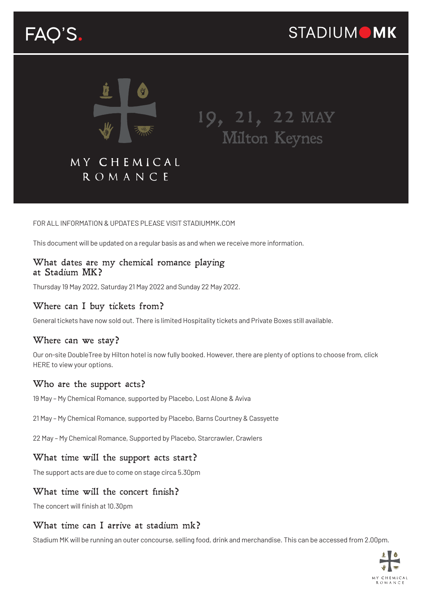# FAQ'S.



19, 21, 22 MAY Milton Keynes

# MY CHEMICAL **ROMANCE**

#### FOR ALL INFORMATION & UPDATES PLEASE VISIT STADIUMMK.COM

This document will be updated on a regular basis as and when we receive more information.

#### What dates are my chemical romance playing at Stadium MK?

Thursday 19 May 2022, Saturday 21 May 2022 and Sunday 22 May 2022.

#### Where can I buy tickets from?

General tickets have now sold out. There is limited Hospitality tickets and Private Boxes still available.

#### Where can we stay?

Our on-site DoubleTree by Hilton hotel is now fully booked. However, there are plenty of options to choose from, click [HERE t](https://www.destinationmiltonkeynes.co.uk/where-to-stay/)o view your options.

#### Who are the support acts?

19 May – My Chemical Romance, supported by Placebo, Lost Alone & Aviva

21 May – My Chemical Romance, supported by Placebo, Barns Courtney & Cassyette

22 May – My Chemical Romance, Supported by Placebo, Starcrawler, Crawlers

#### What time will the support acts start?

The support acts are due to come on stage circa 5.30pm

#### What time will the concert finish?

The concert will finish at 10.30pm

#### What time can I arrive at stadium mk?

Stadium MK will be running an outer concourse, selling food, drink and merchandise. This can be accessed from 2.00pm.

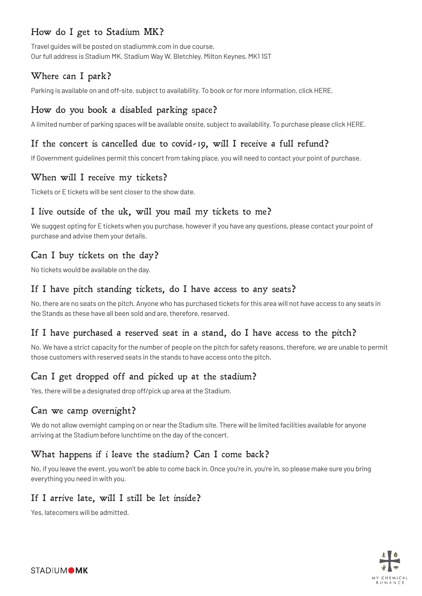# How do I get to Stadium MK?

Travel guides will be posted on stadiummk.com in due course. Our full address is Stadium MK, Stadium Way W, Bletchley, Milton Keynes, MK1 1ST

# Where can I park?

Parking is available on and off-site, subject to availability. To book or for more information, click [HERE.](https://www.parkthecarhere.com/Events.aspx?CustomerId=29)

### How do you book a disabled parking space?

A limited number of parking spaces will be available onsite, subject to availability. To purchase please click [HERE.](https://www.parkthecarhere.com/Events.aspx?CustomerId=29)

### If the concert is cancelled due to covid-19, will I receive a full refund?

If Government guidelines permit this concert from taking place, you will need to contact your point of purchase.

#### When will I receive my tickets?

Tickets or E tickets will be sent closer to the show date.

#### I live outside of the uk, will you mail my tickets to me?

We suggest opting for E tickets when you purchase, however if you have any questions, please contact your point of purchase and advise them your details.

# Can I buy tickets on the day?

No tickets would be available on the day.

#### If I have pitch standing tickets, do I have access to any seats?

No, there are no seats on the pitch. Anyone who has purchased tickets for this area will not have access to any seats in the Stands as these have all been sold and are, therefore, reserved.

#### If I have purchased a reserved seat in a stand, do I have access to the pitch?

No. We have a strict capacity for the number of people on the pitch for safety reasons, therefore, we are unable to permit those customers with reserved seats in the stands to have access onto the pitch.

# Can I get dropped off and picked up at the stadium?

Yes, there will be a designated drop off/pick up area at the Stadium.

#### Can we camp overnight?

We do not allow overnight camping on or near the Stadium site. There will be limited facilities available for anyone arriving at the Stadium before lunchtime on the day of the concert.

#### What happens if i leave the stadium? Can I come back?

No, if you leave the event, you won't be able to come back in. Once you're in, you're in, so please make sure you bring everything you need in with you.

#### If I arrive late, will I still be let inside?

Yes, latecomers will be admitted.

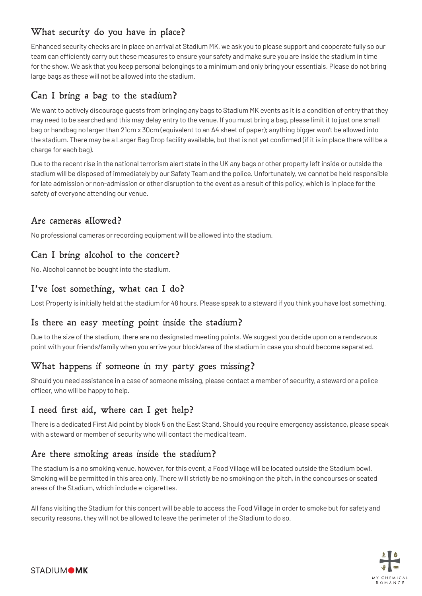# What security do you have in place?

Enhanced security checks are in place on arrival at Stadium MK, we ask you to please support and cooperate fully so our team can efficiently carry out these measures to ensure your safety and make sure you are inside the stadium in time for the show. We ask that you keep personal belongings to a minimum and only bring your essentials. Please do not bring large bags as these will not be allowed into the stadium.

# Can I bring a bag to the stadium?

We want to actively discourage guests from bringing any bags to Stadium MK events as it is a condition of entry that they may need to be searched and this may delay entry to the venue. If you must bring a bag, please limit it to just one small bag or handbag no larger than 21cm x 30cm (equivalent to an A4 sheet of paper); anything bigger won't be allowed into the stadium. There may be a Larger Bag Drop facility available, but that is not yet confirmed (if it is in place there will be a charge for each bag).

Due to the recent rise in the national terrorism alert state in the UK any bags or other property left inside or outside the stadium will be disposed of immediately by our Safety Team and the police. Unfortunately, we cannot be held responsible for late admission or non-admission or other disruption to the event as a result of this policy, which is in place for the safety of everyone attending our venue.

#### Are cameras allowed?

No professional cameras or recording equipment will be allowed into the stadium.

# Can I bring alcohol to the concert?

No. Alcohol cannot be bought into the stadium.

# I've lost something, what can I do?

Lost Property is initially held at the stadium for 48 hours. Please speak to a steward if you think you have lost something.

#### Is there an easy meeting point inside the stadium?

Due to the size of the stadium, there are no designated meeting points. We suggest you decide upon on a rendezvous point with your friends/family when you arrive your block/area of the stadium in case you should become separated.

# What happens if someone in my party goes missing?

Should you need assistance in a case of someone missing, please contact a member of security, a steward or a police officer, who will be happy to help.

#### I need first aid, where can I get help?

There is a dedicated First Aid point by block 5 on the East Stand. Should you require emergency assistance, please speak with a steward or member of security who will contact the medical team.

#### Are there smoking areas inside the stadium?

The stadium is a no smoking venue, however, for this event, a Food Village will be located outside the Stadium bowl. Smoking will be permitted in this area only. There will strictly be no smoking on the pitch, in the concourses or seated areas of the Stadium, which include e-cigarettes.

All fans visiting the Stadium for this concert will be able to access the Food Village in order to smoke but for safety and security reasons, they will not be allowed to leave the perimeter of the Stadium to do so.

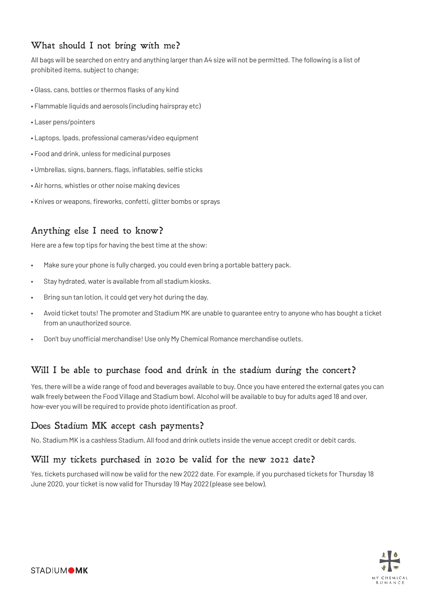# What should I not bring with me?

All bags will be searched on entry and anything larger than A4 size will not be permitted. The following is a list of prohibited items, subject to change;

- Glass, cans, bottles or thermos flasks of any kind
- Flammable liquids and aerosols (including hairspray etc)
- Laser pens/pointers
- Laptops, Ipads, professional cameras/video equipment
- Food and drink, unless for medicinal purposes
- Umbrellas, signs, banners, flags, inflatables, selfie sticks
- Air horns, whistles or other noise making devices
- Knives or weapons, fireworks, confetti, glitter bombs or sprays

# Anything else I need to know?

Here are a few top tips for having the best time at the show:

- Make sure your phone is fully charged, you could even bring a portable battery pack.
- Stay hydrated, water is available from all stadium kiosks.
- Bring sun tan lotion, it could get very hot during the day.
- Avoid ticket touts! The promoter and Stadium MK are unable to guarantee entry to anyone who has bought a ticket from an unauthorized source.
- Don't buy unofficial merchandise! Use only My Chemical Romance merchandise outlets.

#### Will I be able to purchase food and drink in the stadium during the concert?

Yes, there will be a wide range of food and beverages available to buy. Once you have entered the external gates you can walk freely between the Food Village and Stadium bowl. Alcohol will be available to buy for adults aged 18 and over, how-ever you will be required to provide photo identification as proof.

#### Does Stadium MK accept cash payments?

No, Stadium MK is a cashless Stadium. All food and drink outlets inside the venue accept credit or debit cards.

#### Will my tickets purchased in 2020 be valid for the new 2022 date?

Yes, tickets purchased will now be valid for the new 2022 date. For example, if you purchased tickets for Thursday 18 June 2020, your ticket is now valid for Thursday 19 May 2022 (please see below).